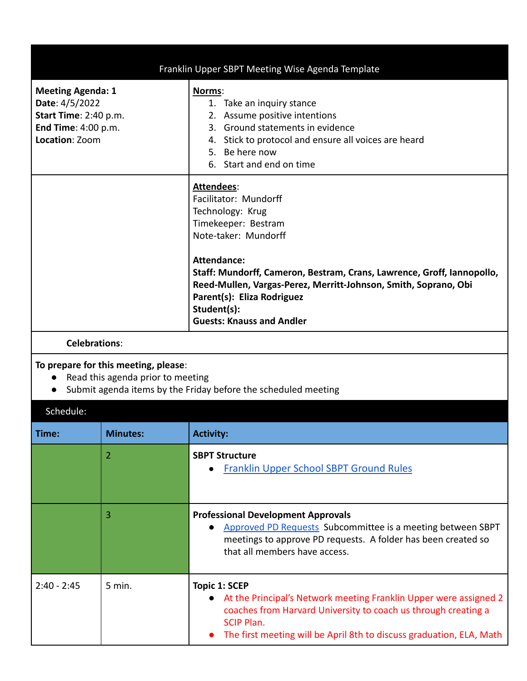|                                                                                                              | Franklin Upper SBPT Meeting Wise Agenda Template                                                                                                                                                                                                                                                                                                                  |
|--------------------------------------------------------------------------------------------------------------|-------------------------------------------------------------------------------------------------------------------------------------------------------------------------------------------------------------------------------------------------------------------------------------------------------------------------------------------------------------------|
| <b>Meeting Agenda: 1</b><br>Date: 4/5/2022<br>Start Time: 2:40 p.m.<br>End Time: 4:00 p.m.<br>Location: Zoom | Norms:<br>1. Take an inquiry stance<br>2. Assume positive intentions<br>3. Ground statements in evidence<br>Stick to protocol and ensure all voices are heard<br>4.<br>5. Be here now<br>6. Start and end on time                                                                                                                                                 |
|                                                                                                              | <b>Attendees:</b><br>Facilitator: Mundorff<br>Technology: Krug<br>Timekeeper: Bestram<br>Note-taker: Mundorff<br><b>Attendance:</b><br>Staff: Mundorff, Cameron, Bestram, Crans, Lawrence, Groff, Iannopollo,<br>Reed-Mullen, Vargas-Perez, Merritt-Johnson, Smith, Soprano, Obi<br>Parent(s): Eliza Rodriguez<br>Student(s):<br><b>Guests: Knauss and Andler</b> |

## **Celebrations**:

## **To prepare for this meeting, please**:

- Read this agenda prior to meeting
- Submit agenda items by the Friday before the scheduled meeting

| Schedule:     |                   |                                                                                                                                                                                                                                                   |
|---------------|-------------------|---------------------------------------------------------------------------------------------------------------------------------------------------------------------------------------------------------------------------------------------------|
| Time:         | <b>Minutes:</b>   | <b>Activity:</b>                                                                                                                                                                                                                                  |
|               | 2                 | <b>SBPT Structure</b><br><b>Franklin Upper School SBPT Ground Rules</b>                                                                                                                                                                           |
|               | 3                 | <b>Professional Development Approvals</b><br>Approved PD Requests Subcommittee is a meeting between SBPT<br>$\bullet$<br>meetings to approve PD requests. A folder has been created so<br>that all members have access.                           |
| $2:40 - 2:45$ | $5 \text{ min}$ . | Topic 1: SCEP<br>At the Principal's Network meeting Franklin Upper were assigned 2<br>coaches from Harvard University to coach us through creating a<br><b>SCIP Plan.</b><br>The first meeting will be April 8th to discuss graduation, ELA, Math |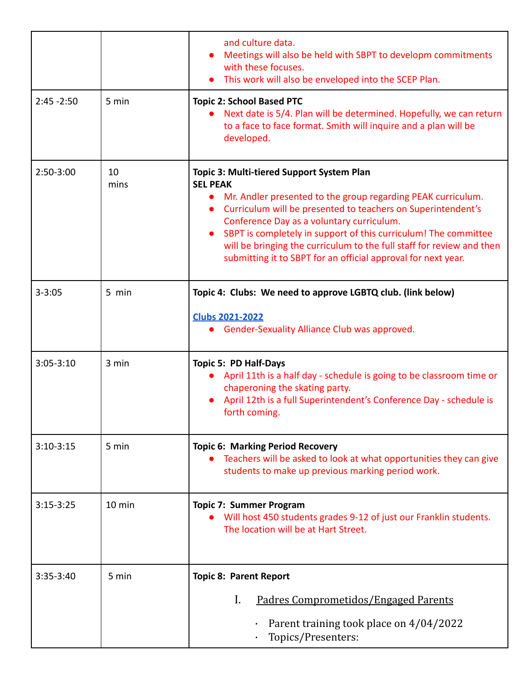|               |                  | and culture data.<br>Meetings will also be held with SBPT to developm commitments<br>with these focuses.<br>This work will also be enveloped into the SCEP Plan.                                                                                                                                                                                                                                                                                                                 |  |  |
|---------------|------------------|----------------------------------------------------------------------------------------------------------------------------------------------------------------------------------------------------------------------------------------------------------------------------------------------------------------------------------------------------------------------------------------------------------------------------------------------------------------------------------|--|--|
| $2:45 - 2:50$ | 5 min            | <b>Topic 2: School Based PTC</b><br>Next date is 5/4. Plan will be determined. Hopefully, we can return<br>to a face to face format. Smith will inquire and a plan will be<br>developed.                                                                                                                                                                                                                                                                                         |  |  |
| 2:50-3:00     | 10<br>mins       | Topic 3: Multi-tiered Support System Plan<br><b>SEL PEAK</b><br>Mr. Andler presented to the group regarding PEAK curriculum.<br>$\bullet$<br>Curriculum will be presented to teachers on Superintendent's<br>$\bullet$<br>Conference Day as a voluntary curriculum.<br>SBPT is completely in support of this curriculum! The committee<br>will be bringing the curriculum to the full staff for review and then<br>submitting it to SBPT for an official approval for next year. |  |  |
| $3 - 3:05$    | 5 min            | Topic 4: Clubs: We need to approve LGBTQ club. (link below)<br><b>Clubs 2021-2022</b><br>• Gender-Sexuality Alliance Club was approved.                                                                                                                                                                                                                                                                                                                                          |  |  |
| $3:05 - 3:10$ | 3 min            | <b>Topic 5: PD Half-Days</b><br>April 11th is a half day - schedule is going to be classroom time or<br>chaperoning the skating party.<br>April 12th is a full Superintendent's Conference Day - schedule is<br>forth coming.                                                                                                                                                                                                                                                    |  |  |
| $3:10-3:15$   | 5 min            | <b>Topic 6: Marking Period Recovery</b><br>Teachers will be asked to look at what opportunities they can give<br>students to make up previous marking period work.                                                                                                                                                                                                                                                                                                               |  |  |
| $3:15-3:25$   | $10 \text{ min}$ | <b>Topic 7: Summer Program</b><br>Will host 450 students grades 9-12 of just our Franklin students.<br>The location will be at Hart Street.                                                                                                                                                                                                                                                                                                                                      |  |  |
| $3:35-3:40$   | 5 min            | <b>Topic 8: Parent Report</b><br>I.<br>Padres Comprometidos/Engaged Parents<br>Parent training took place on 4/04/2022<br>Topics/Presenters:                                                                                                                                                                                                                                                                                                                                     |  |  |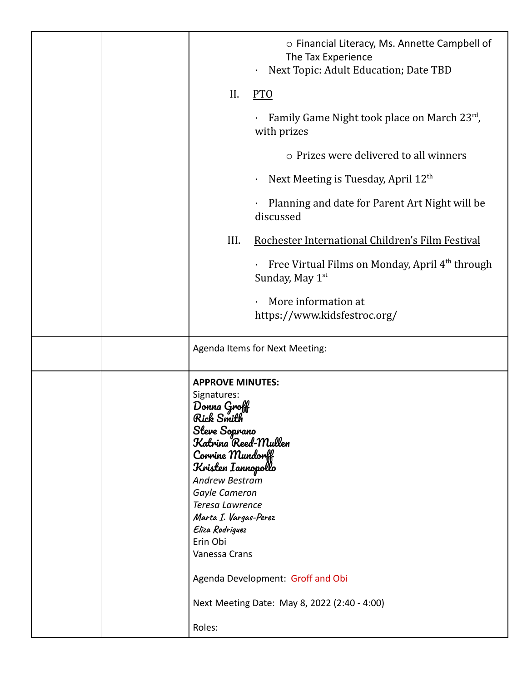|  |                                                                                                                                                                                                                                                                                                                                                                                        | ○ Financial Literacy, Ms. Annette Campbell of<br>The Tax Experience<br>Next Topic: Adult Education; Date TBD<br>$\bullet$ |
|--|----------------------------------------------------------------------------------------------------------------------------------------------------------------------------------------------------------------------------------------------------------------------------------------------------------------------------------------------------------------------------------------|---------------------------------------------------------------------------------------------------------------------------|
|  | II.                                                                                                                                                                                                                                                                                                                                                                                    | <b>PTO</b>                                                                                                                |
|  |                                                                                                                                                                                                                                                                                                                                                                                        | Family Game Night took place on March 23rd,<br>$\bullet$<br>with prizes                                                   |
|  |                                                                                                                                                                                                                                                                                                                                                                                        | o Prizes were delivered to all winners                                                                                    |
|  |                                                                                                                                                                                                                                                                                                                                                                                        | Next Meeting is Tuesday, April 12 <sup>th</sup><br>$\bullet$                                                              |
|  |                                                                                                                                                                                                                                                                                                                                                                                        | Planning and date for Parent Art Night will be<br>$\bullet$<br>discussed                                                  |
|  | III.                                                                                                                                                                                                                                                                                                                                                                                   | Rochester International Children's Film Festival                                                                          |
|  |                                                                                                                                                                                                                                                                                                                                                                                        | $\cdot$ Free Virtual Films on Monday, April 4 <sup>th</sup> through<br>Sunday, May 1 <sup>st</sup>                        |
|  |                                                                                                                                                                                                                                                                                                                                                                                        | More information at<br>$\bullet$<br>https://www.kidsfestroc.org/                                                          |
|  |                                                                                                                                                                                                                                                                                                                                                                                        | Agenda Items for Next Meeting:                                                                                            |
|  | <b>APPROVE MINUTES:</b><br>Signatures:<br>$D$ onna Groff<br>Rick Smith<br>Steve Soprano<br>Katrina Reed-Mullen<br>Convine Mundonff<br>Kristen Iannopollo<br>Andrew Bestram<br>Gayle Cameron<br>Teresa Lawrence<br>Marta I. Vargas-Perez<br>Eliza Rodriguez<br>Erin Obi<br>Vanessa Crans<br>Agenda Development: Groff and Obi<br>Next Meeting Date: May 8, 2022 (2:40 - 4:00)<br>Roles: |                                                                                                                           |